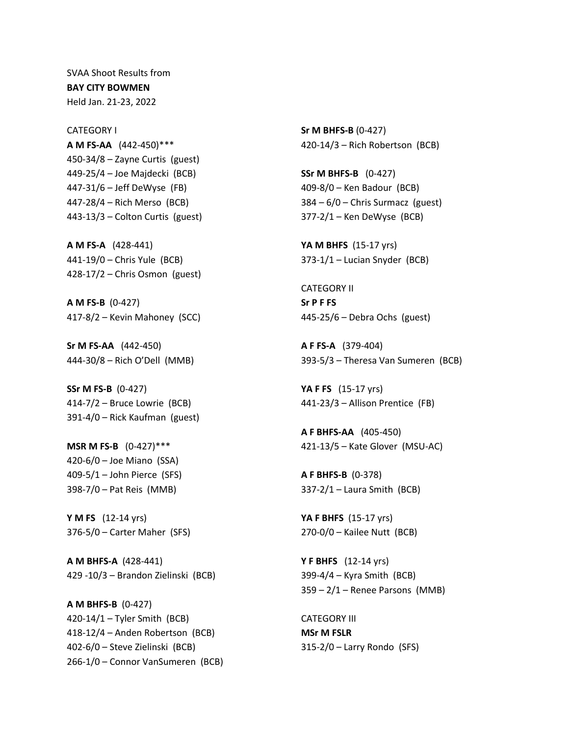SVAA Shoot Results from **BAY CITY BOWMEN** Held Jan. 21-23, 2022

CATEGORY I **A M FS-AA** (442-450)\*\*\* 450-34/8 – Zayne Curtis (guest) 449-25/4 – Joe Majdecki (BCB) 447-31/6 – Jeff DeWyse (FB) 447-28/4 – Rich Merso (BCB) 443-13/3 – Colton Curtis (guest)

**A M FS-A** (428-441) 441-19/0 – Chris Yule (BCB) 428-17/2 – Chris Osmon (guest)

**A M FS-B** (0-427) 417-8/2 – Kevin Mahoney (SCC)

**Sr M FS-AA** (442-450) 444-30/8 – Rich O'Dell (MMB)

**SSr M FS-B** (0-427) 414-7/2 – Bruce Lowrie (BCB) 391-4/0 – Rick Kaufman (guest)

**MSR M FS-B** (0-427)\*\*\* 420-6/0 – Joe Miano (SSA) 409-5/1 – John Pierce (SFS) 398-7/0 – Pat Reis (MMB)

**Y M FS** (12-14 yrs) 376-5/0 – Carter Maher (SFS)

**A M BHFS-A** (428-441) 429 -10/3 – Brandon Zielinski (BCB)

**A M BHFS-B** (0-427) 420-14/1 – Tyler Smith (BCB) 418-12/4 – Anden Robertson (BCB) 402-6/0 – Steve Zielinski (BCB) 266-1/0 – Connor VanSumeren (BCB) **Sr M BHFS-B** (0-427) 420-14/3 – Rich Robertson (BCB)

**SSr M BHFS-B** (0-427) 409-8/0 – Ken Badour (BCB) 384 – 6/0 – Chris Surmacz (guest) 377-2/1 – Ken DeWyse (BCB)

**YA M BHFS** (15-17 yrs) 373-1/1 – Lucian Snyder (BCB)

CATEGORY II **Sr P F FS** 445-25/6 – Debra Ochs (guest)

**A F FS-A** (379-404) 393-5/3 – Theresa Van Sumeren (BCB)

**YA F FS** (15-17 yrs) 441-23/3 – Allison Prentice (FB)

**A F BHFS-AA** (405-450) 421-13/5 – Kate Glover (MSU-AC)

**A F BHFS-B** (0-378) 337-2/1 – Laura Smith (BCB)

**YA F BHFS** (15-17 yrs) 270-0/0 – Kailee Nutt (BCB)

**Y F BHFS** (12-14 yrs) 399-4/4 – Kyra Smith (BCB) 359 – 2/1 – Renee Parsons (MMB)

CATEGORY III **MSr M FSLR** 315-2/0 – Larry Rondo (SFS)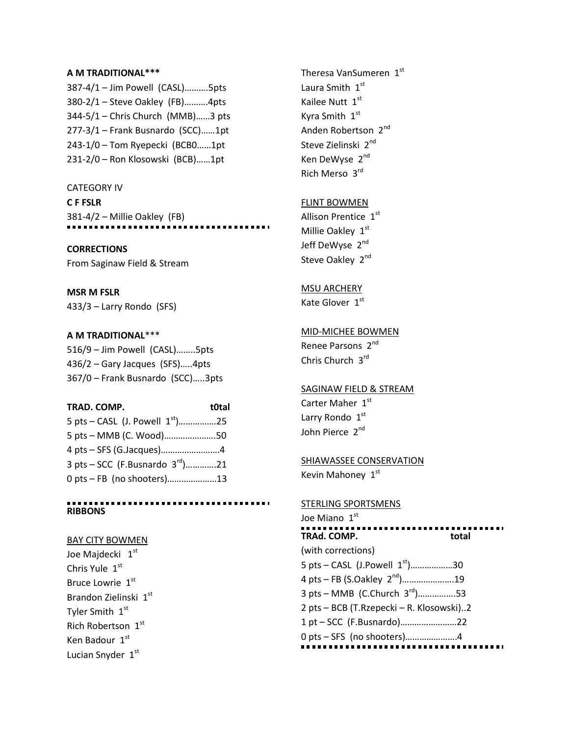### **A M TRADITIONAL\*\*\***

387-4/1 – Jim Powell (CASL)……….5pts 380-2/1 – Steve Oakley (FB)……….4pts 344-5/1 – Chris Church (MMB)……3 pts 277-3/1 – Frank Busnardo (SCC)……1pt 243-1/0 – Tom Ryepecki (BCB0……1pt 231-2/0 – Ron Klosowski (BCB)……1pt

CATEGORY IV **C F FSLR** 381-4/2 – Millie Oakley (FB)

### **CORRECTIONS**

From Saginaw Field & Stream

**MSR M FSLR** 433/3 – Larry Rondo (SFS)

## **A M TRADITIONAL**\*\*\*

516/9 – Jim Powell (CASL)……..5pts 436/2 – Gary Jacques (SFS)…..4pts 367/0 – Frank Busnardo (SCC)…..3pts

| TRAD. COMP.                          | t0tal |
|--------------------------------------|-------|
| 5 pts – CASL (J. Powell $1^{st}$ )25 |       |
| 5 pts - MMB (C. Wood)50              |       |
| 4 pts - SFS (G.Jacques)4             |       |
| 3 pts – SCC (F.Busnardo $3^{rd}$ )21 |       |
| 0 pts - FB (no shooters)13           |       |
|                                      |       |

**RIBBONS**

## BAY CITY BOWMEN

Joe Maidecki 1st Chris Yule 1st Bruce Lowrie 1st Brandon Zielinski 1st Tyler Smith 1st Rich Robertson 1st Ken Badour 1st Lucian Snyder 1st

Theresa VanSumeren 1st Laura Smith  $1<sup>st</sup>$ Kailee Nutt 1st Kyra Smith 1<sup>st</sup> Anden Robertson 2<sup>nd</sup> Steve Zielinski 2<sup>nd</sup> Ken DeWyse 2<sup>nd</sup> Rich Merso 3rd

# FLINT BOWMEN

Allison Prentice 1st Millie Oakley 1st Jeff DeWyse 2<sup>nd</sup> Steve Oakley 2<sup>nd</sup>

### MSU ARCHERY

Kate Glover 1st

## MID-MICHEE BOWMEN

Renee Parsons 2<sup>nd</sup> Chris Church 3rd

## SAGINAW FIELD & STREAM

Carter Maher 1st Larry Rondo 1st John Pierce 2<sup>nd</sup>

### SHIAWASSEE CONSERVATION

Kevin Mahoney 1st

## STERLING SPORTSMENS

Joe Miano  $1<sup>st</sup>$ ...... TRAd. COMP. total (with corrections) 5 pts – CASL (J.Powell 1st)………………30 4 pts – FB (S.Oakley 2<sup>nd</sup>).......................19 3 pts – MMB (C.Church  $3^{rd}$ ) ... ... ... ..........53 2 pts – BCB (T.Rzepecki – R. Klosowski)..2 1 pt – SCC (F.Busnardo)……………………22 0 pts – SFS (no shooters)………………….4